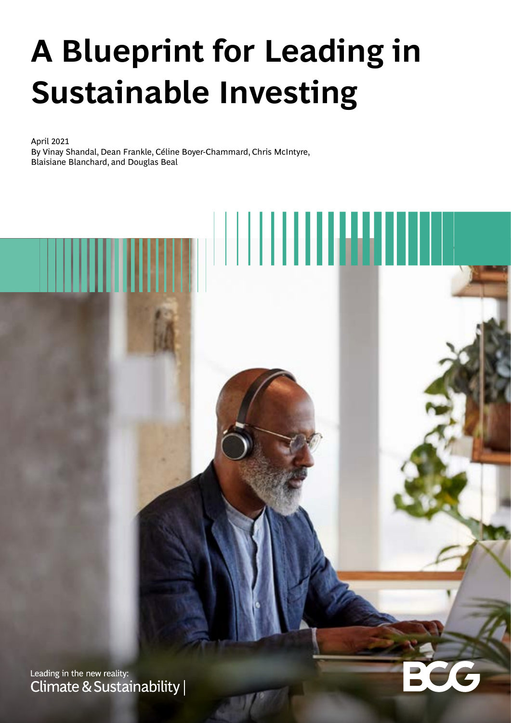# **A Blueprint for Leading in Sustainable Investing**

April 2021 By Vinay Shandal, Dean Frankle, Céline Boyer-Chammard, Chris McIntyre, Blaisiane Blanchard, and Douglas Beal

Leading in the new reality: Climate & Sustainability |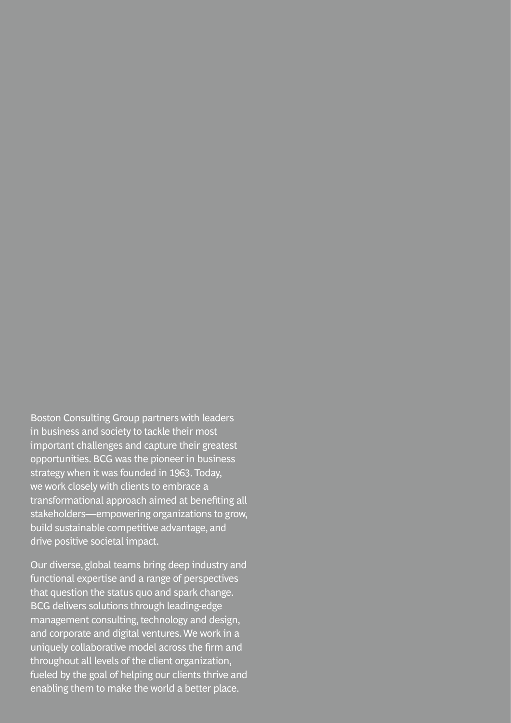Boston Consulting Group partners with leaders in business and society to tackle their most important challenges and capture their greatest opportunities. BCG was the pioneer in business strategy when it was founded in 1963. Today, we work closely with clients to embrace a transformational approach aimed at benefiting all stakeholders—empowering organizations to grow, build sustainable competitive advantage, and drive positive societal impact.

Our diverse, global teams bring deep industry and functional expertise and a range of perspectives that question the status quo and spark change. BCG delivers solutions through leading-edge management consulting, technology and design, and corporate and digital ventures. We work in a uniquely collaborative model across the firm and throughout all levels of the client organization, fueled by the goal of helping our clients thrive and enabling them to make the world a better place.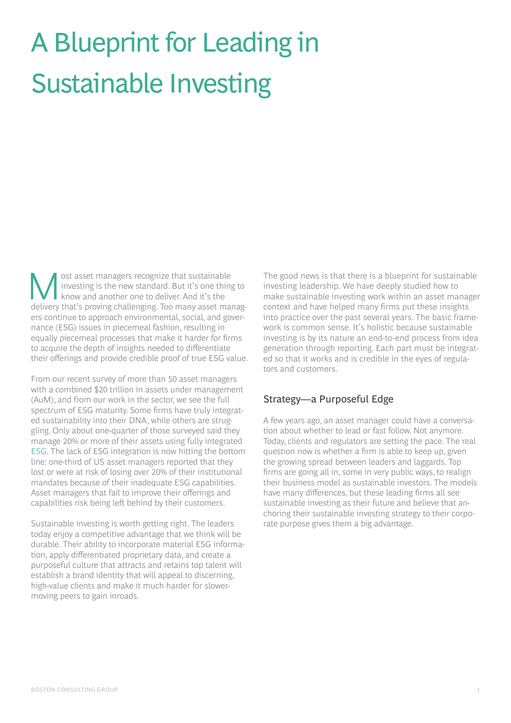## A Blueprint for Leading in Sustainable Investing

Solventhalt asset managers recognize that sustainable<br>
investing is the new standard. But it's one thing<br>
know and another one to deliver. And it's the<br>
deliver that's regime shall<br>
contains To many seat more investing is the new standard. But it's one thing to know and another one to deliver. And it's the delivery that's proving challenging. Too many asset managers continue to approach environmental, social, and governance (ESG) issues in piecemeal fashion, resulting in equally piecemeal processes that make it harder for firms to acquire the depth of insights needed to differentiate their offerings and provide credible proof of true ESG value.

From our recent survey of more than 50 asset managers with a combined \$20 trillion in assets under management (AuM), and from our work in the sector, we see the full spectrum of ESG maturity. Some firms have truly integrated sustainability into their DNA, while others are struggling. Only about one-quarter of those surveyed said they manage 20% or more of their assets using fully integrated [ESG](https://www.bcg.com/publications/2020/future-esg-environmental-social-governance-opportunities). The lack of ESG integration is now hitting the bottom line: one-third of US asset managers reported that they lost or were at risk of losing over 20% of their institutional mandates because of their inadequate ESG capabilities. Asset managers that fail to improve their offerings and capabilities risk being left behind by their customers.

Sustainable investing is worth getting right. The leaders today enjoy a competitive advantage that we think will be durable. Their ability to incorporate material ESG information, apply differentiated proprietary data, and create a purposeful culture that attracts and retains top talent will establish a brand identity that will appeal to discerning, high-value clients and make it much harder for slowermoving peers to gain inroads.

The good news is that there is a blueprint for sustainable investing leadership. We have deeply studied how to make sustainable investing work within an asset manager context and have helped many firms put these insights into practice over the past several years. The basic framework is common sense. It's holistic because sustainable investing is by its nature an end-to-end process from idea generation through reporting. Each part must be integrated so that it works and is credible in the eyes of regulators and customers.

#### Strategy—a Purposeful Edge

A few years ago, an asset manager could have a conversation about whether to lead or fast follow. Not anymore. Today, clients and regulators are setting the pace. The real question now is whether a firm is able to keep up, given the growing spread between leaders and laggards. Top firms are going all in, some in very public ways, to realign their business model as sustainable investors. The models have many differences, but these leading firms all see sustainable investing as their future and believe that anchoring their sustainable investing strategy to their corporate purpose gives them a big advantage.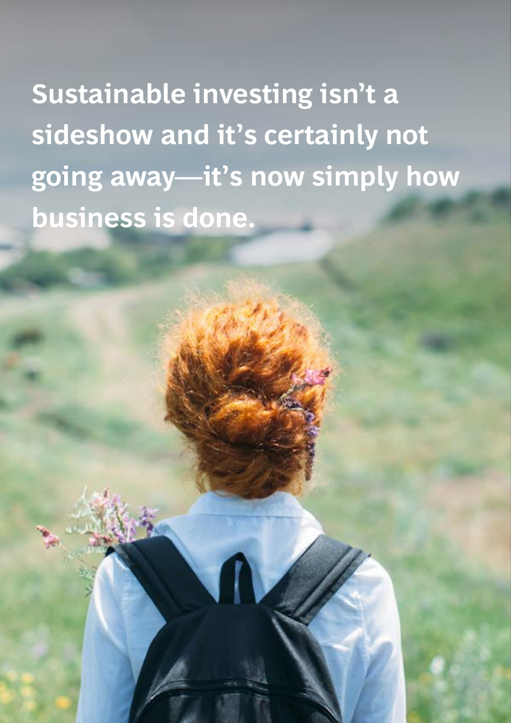**Sustainable investing isn't a sideshow and it's certainly not going away—it's now simply how business is done.**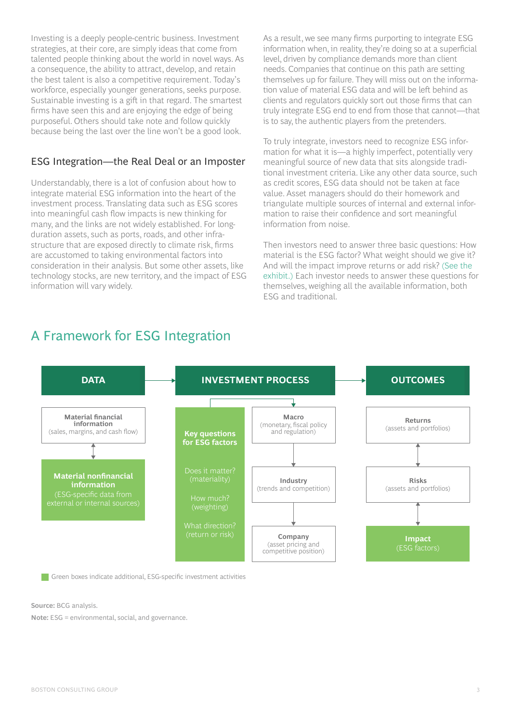Investing is a deeply people-centric business. Investment strategies, at their core, are simply ideas that come from talented people thinking about the world in novel ways. As a consequence, the ability to attract, develop, and retain the best talent is also a competitive requirement. Today's workforce, especially younger generations, seeks purpose. Sustainable investing is a gift in that regard. The smartest firms have seen this and are enjoying the edge of being purposeful. Others should take note and follow quickly because being the last over the line won't be a good look.

#### ESG Integration—the Real Deal or an Imposter

Understandably, there is a lot of confusion about how to integrate material ESG information into the heart of the investment process. Translating data such as ESG scores into meaningful cash flow impacts is new thinking for many, and the links are not widely established. For longduration assets, such as ports, roads, and other infrastructure that are exposed directly to climate risk, firms are accustomed to taking environmental factors into consideration in their analysis. But some other assets, like technology stocks, are new territory, and the impact of ESG information will vary widely.

As a result, we see many firms purporting to integrate ESG information when, in reality, they're doing so at a superficial level, driven by compliance demands more than client needs. Companies that continue on this path are setting themselves up for failure. They will miss out on the information value of material ESG data and will be left behind as clients and regulators quickly sort out those firms that can truly integrate ESG end to end from those that cannot—that is to say, the authentic players from the pretenders.

To truly integrate, investors need to recognize ESG information for what it is—a highly imperfect, potentially very meaningful source of new data that sits alongside traditional investment criteria. Like any other data source, such as credit scores, ESG data should not be taken at face value. Asset managers should do their homework and triangulate multiple sources of internal and external information to raise their confidence and sort meaningful information from noise.

Then investors need to answer three basic questions: How material is the ESG factor? What weight should we give it? And will the impact improve returns or add risk? [\(See the](#page-4-0)  [exhibit.\)](#page-4-0) Each investor needs to answer these questions for themselves, weighing all the available information, both ESG and traditional.



Green boxes indicate additional, ESG-specific investment activities

**Source:** BCG analysis.

**Note:** ESG = environmental, social, and governance.

### <span id="page-4-0"></span>A Framework for ESG Integration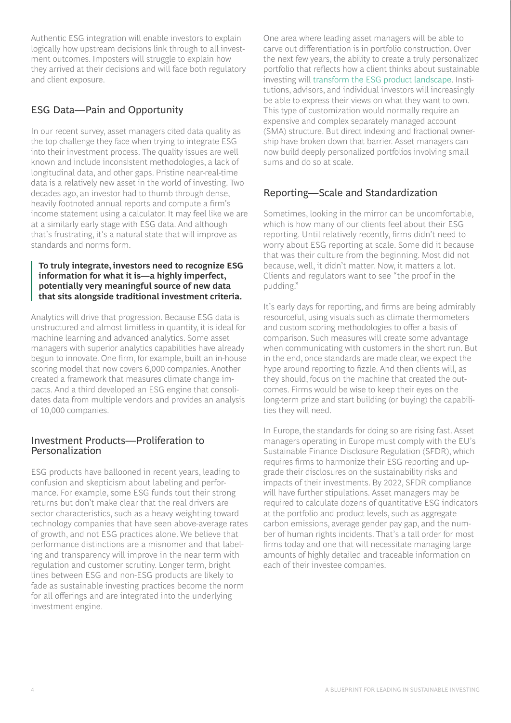Authentic ESG integration will enable investors to explain logically how upstream decisions link through to all investment outcomes. Imposters will struggle to explain how they arrived at their decisions and will face both regulatory and client exposure.

#### ESG Data—Pain and Opportunity

In our recent survey, asset managers cited data quality as the top challenge they face when trying to integrate ESG into their investment process. The quality issues are well known and include inconsistent methodologies, a lack of longitudinal data, and other gaps. Pristine near-real-time data is a relatively new asset in the world of investing. Two decades ago, an investor had to thumb through dense, heavily footnoted annual reports and compute a firm's income statement using a calculator. It may feel like we are at a similarly early stage with ESG data. And although that's frustrating, it's a natural state that will improve as standards and norms form.

#### **To truly integrate, investors need to recognize ESG information for what it is—a highly imperfect, potentially very meaningful source of new data that sits alongside traditional investment criteria.**

Analytics will drive that progression. Because ESG data is unstructured and almost limitless in quantity, it is ideal for machine learning and advanced analytics. Some asset managers with superior analytics capabilities have already begun to innovate. One firm, for example, built an in-house scoring model that now covers 6,000 companies. Another created a framework that measures climate change impacts. And a third developed an ESG engine that consolidates data from multiple vendors and provides an analysis of 10,000 companies.

#### Investment Products—Proliferation to Personalization

ESG products have ballooned in recent years, leading to confusion and skepticism about labeling and performance. For example, some ESG funds tout their strong returns but don't make clear that the real drivers are sector characteristics, such as a heavy weighting toward technology companies that have seen above-average rates of growth, and not ESG practices alone. We believe that performance distinctions are a misnomer and that labeling and transparency will improve in the near term with regulation and customer scrutiny. Longer term, bright lines between ESG and non-ESG products are likely to fade as sustainable investing practices become the norm for all offerings and are integrated into the underlying investment engine.

One area where leading asset managers will be able to carve out differentiation is in portfolio construction. Over the next few years, the ability to create a truly personalized portfolio that reflects how a client thinks about sustainable investing will [transform the ESG product landscape](https://www.bcg.com/en-ch/making-esg-your-dna). Institutions, advisors, and individual investors will increasingly be able to express their views on what they want to own. This type of customization would normally require an expensive and complex separately managed account (SMA) structure. But direct indexing and fractional ownership have broken down that barrier. Asset managers can now build deeply personalized portfolios involving small sums and do so at scale.

#### Reporting—Scale and Standardization

Sometimes, looking in the mirror can be uncomfortable, which is how many of our clients feel about their ESG reporting. Until relatively recently, firms didn't need to worry about ESG reporting at scale. Some did it because that was their culture from the beginning. Most did not because, well, it didn't matter. Now, it matters a lot. Clients and regulators want to see "the proof in the pudding."

It's early days for reporting, and firms are being admirably resourceful, using visuals such as climate thermometers and custom scoring methodologies to offer a basis of comparison. Such measures will create some advantage when communicating with customers in the short run. But in the end, once standards are made clear, we expect the hype around reporting to fizzle. And then clients will, as they should, focus on the machine that created the outcomes. Firms would be wise to keep their eyes on the long-term prize and start building (or buying) the capabilities they will need.

In Europe, the standards for doing so are rising fast. Asset managers operating in Europe must comply with the EU's Sustainable Finance Disclosure Regulation (SFDR), which requires firms to harmonize their ESG reporting and upgrade their disclosures on the sustainability risks and impacts of their investments. By 2022, SFDR compliance will have further stipulations. Asset managers may be required to calculate dozens of quantitative ESG indicators at the portfolio and product levels, such as aggregate carbon emissions, average gender pay gap, and the number of human rights incidents. That's a tall order for most firms today and one that will necessitate managing large amounts of highly detailed and traceable information on each of their investee companies.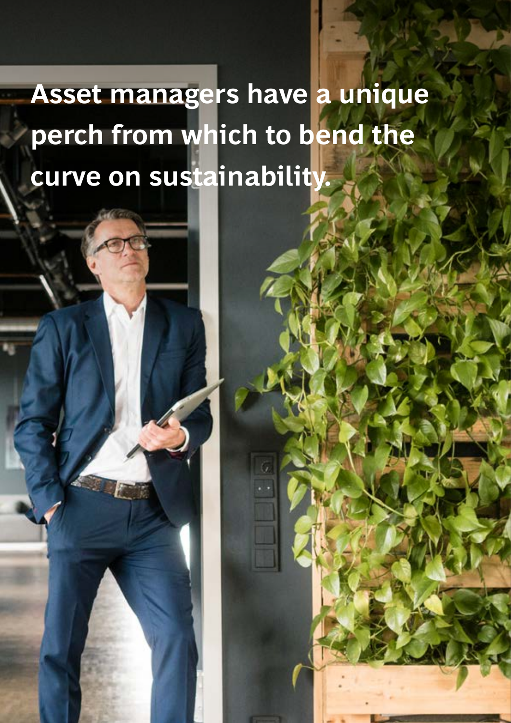## **Asset managers have a unique perch from which to bend the curve on sustainability.**

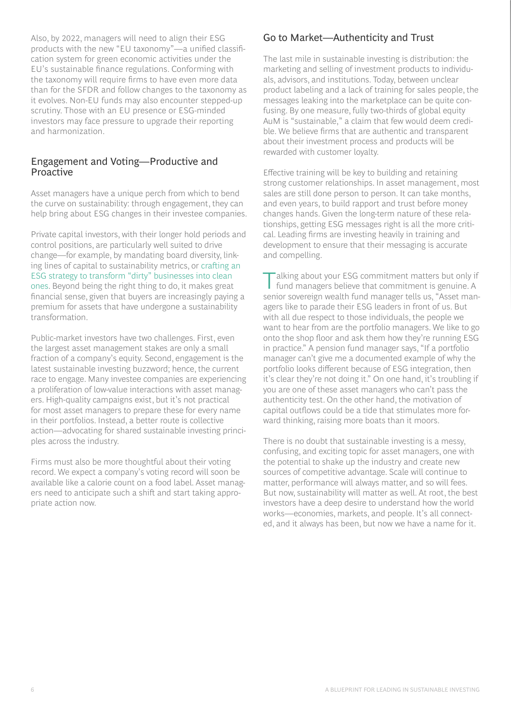Also, by 2022, managers will need to align their ESG products with the new "EU taxonomy"—a unified classification system for green economic activities under the EU's sustainable finance regulations. Conforming with the taxonomy will require firms to have even more data than for the SFDR and follow changes to the taxonomy as it evolves. Non-EU funds may also encounter stepped-up scrutiny. Those with an EU presence or ESG-minded investors may face pressure to upgrade their reporting and harmonization.

#### Engagement and Voting—Productive and Proactive

Asset managers have a unique perch from which to bend the curve on sustainability: through engagement, they can help bring about ESG changes in their investee companies.

Private capital investors, with their longer hold periods and control positions, are particularly well suited to drive change—for example, by mandating board diversity, linking lines of capital to sustainability metrics, or [crafting an](https://www.bcg.com/industries/industrial-goods/building-materials-industry/strategies-for-better-esg-performance)  [ESG strategy to transform "dirty" businesses into clean](https://www.bcg.com/industries/industrial-goods/building-materials-industry/strategies-for-better-esg-performance)  [ones](https://www.bcg.com/industries/industrial-goods/building-materials-industry/strategies-for-better-esg-performance). Beyond being the right thing to do, it makes great financial sense, given that buyers are increasingly paying a premium for assets that have undergone a sustainability transformation.

Public-market investors have two challenges. First, even the largest asset management stakes are only a small fraction of a company's equity. Second, engagement is the latest sustainable investing buzzword; hence, the current race to engage. Many investee companies are experiencing a proliferation of low-value interactions with asset managers. High-quality campaigns exist, but it's not practical for most asset managers to prepare these for every name in their portfolios. Instead, a better route is collective action—advocating for shared sustainable investing principles across the industry.

Firms must also be more thoughtful about their voting record. We expect a company's voting record will soon be available like a calorie count on a food label. Asset managers need to anticipate such a shift and start taking appropriate action now.

#### Go to Market—Authenticity and Trust

The last mile in sustainable investing is distribution: the marketing and selling of investment products to individuals, advisors, and institutions. Today, between unclear product labeling and a lack of training for sales people, the messages leaking into the marketplace can be quite confusing. By one measure, fully two-thirds of global equity AuM is "sustainable," a claim that few would deem credible. We believe firms that are authentic and transparent about their investment process and products will be rewarded with customer loyalty.

Effective training will be key to building and retaining strong customer relationships. In asset management, most sales are still done person to person. It can take months, and even years, to build rapport and trust before money changes hands. Given the long-term nature of these relationships, getting ESG messages right is all the more critical. Leading firms are investing heavily in training and development to ensure that their messaging is accurate and compelling.

alking about your ESG commitment matters but only if fund managers believe that commitment is genuine. A senior sovereign wealth fund manager tells us, "Asset managers like to parade their ESG leaders in front of us. But with all due respect to those individuals, the people we want to hear from are the portfolio managers. We like to go onto the shop floor and ask them how they're running ESG in practice." A pension fund manager says, "If a portfolio manager can't give me a documented example of why the portfolio looks different because of ESG integration, then it's clear they're not doing it." On one hand, it's troubling if you are one of these asset managers who can't pass the authenticity test. On the other hand, the motivation of capital outflows could be a tide that stimulates more forward thinking, raising more boats than it moors.

There is no doubt that sustainable investing is a messy, confusing, and exciting topic for asset managers, one with the potential to shake up the industry and create new sources of competitive advantage. Scale will continue to matter, performance will always matter, and so will fees. But now, sustainability will matter as well. At root, the best investors have a deep desire to understand how the world works—economies, markets, and people. It's all connected, and it always has been, but now we have a name for it.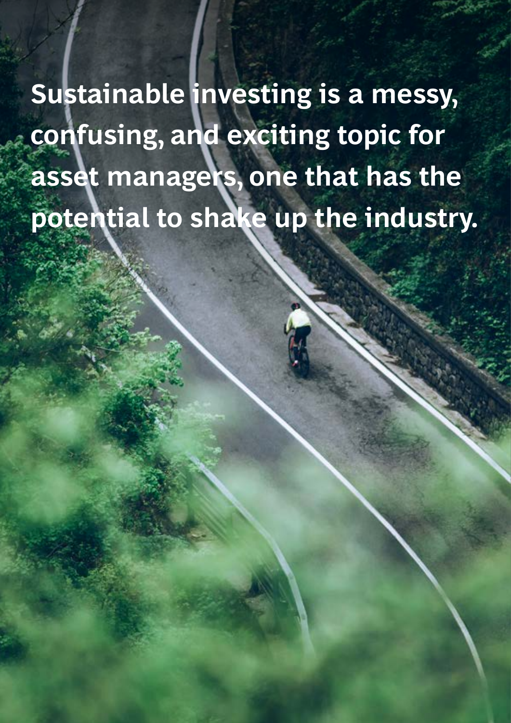**Sustainable investing is a messy, confusing, and exciting topic for asset managers, one that has the potential to shake up the industry.**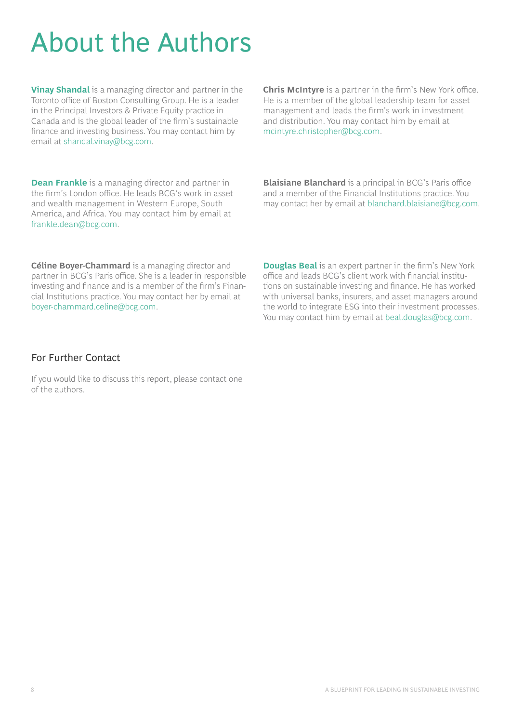### About the Authors

**[Vinay Shandal](https://www.bcg.com/en-ca/about/people/experts/vinay-shandal)** is a managing director and partner in the Toronto office of Boston Consulting Group. He is a leader in the Principal Investors & Private Equity practice in Canada and is the global leader of the firm's sustainable finance and investing business. You may contact him by email at [shandal.vinay@bcg.com](mailto:shandal.vinay%40bcg.com?subject=).

**[Dean Frankle](https://www.bcg.com/en-ca/about/people/experts/dean-frankle)** is a managing director and partner in the firm's London office. He leads BCG's work in asset and wealth management in Western Europe, South America, and Africa. You may contact him by email at [frankle.dean@bcg.com.](mailto:frankle.dean%40bcg.com?subject=)

**Chris McIntyre** is a partner in the firm's New York office. He is a member of the global leadership team for asset management and leads the firm's work in investment and distribution. You may contact him by email at [mcintyre.christopher@bcg.com.](mailto:mcintyre.christopher%40bcg.com?subject=)

**Blaisiane Blanchard** is a principal in BCG's Paris office and a member of the Financial Institutions practice. You may contact her by email at [blanchard.blaisiane@bcg.com.](mailto:blanchard.blaisiane%40bcg.com?subject=)

**Céline Boyer-Chammard** is a managing director and partner in BCG's Paris office. She is a leader in responsible investing and finance and is a member of the firm's Financial Institutions practice. You may contact her by email at [boyer-chammard.celine@bcg.com.](mailto:boyer-chammard.celine%40bcg.com?subject=)

**[Douglas Beal](https://www.bcg.com/en-ca/about/people/experts/doug-beal)** is an expert partner in the firm's New York office and leads BCG's client work with financial institutions on sustainable investing and finance. He has worked with universal banks, insurers, and asset managers around the world to integrate ESG into their investment processes. You may contact him by email at [beal.douglas@bcg.com.](mailto:beal.douglas%40bcg.com?subject=)

#### For Further Contact

If you would like to discuss this report, please contact one of the authors.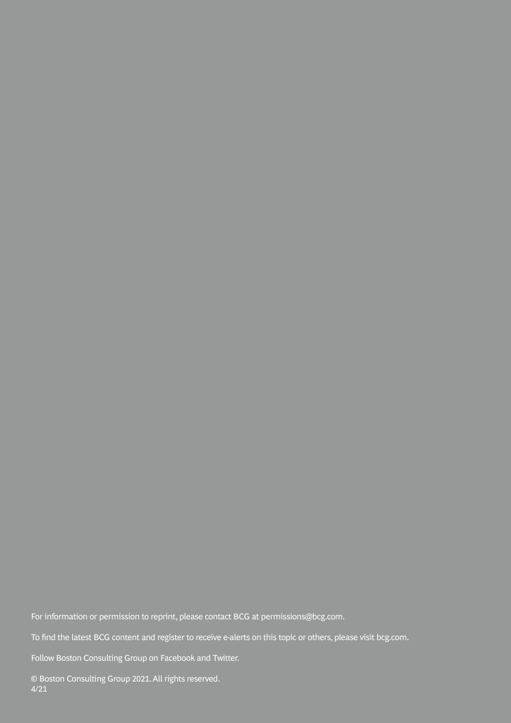For information or permission to reprint, please contact BCG at permissions@bcg.com.

To find the latest BCG content and register to receive e-alerts on this topic or others, please visit bcg.com.

Follow Boston Consulting Group on Facebook and Twitter.

© Boston Consulting Group 2021. All rights reserved. 4/21